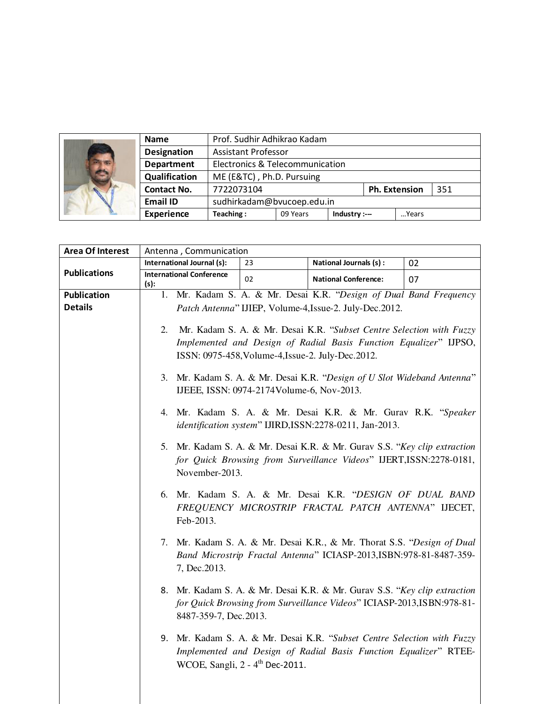|  | <b>Name</b>        | Prof. Sudhir Adhikrao Kadam     |          |               |  |                      |     |
|--|--------------------|---------------------------------|----------|---------------|--|----------------------|-----|
|  | <b>Designation</b> | <b>Assistant Professor</b>      |          |               |  |                      |     |
|  | <b>Department</b>  | Electronics & Telecommunication |          |               |  |                      |     |
|  | Qualification      | ME (E&TC), Ph.D. Pursuing       |          |               |  |                      |     |
|  | <b>Contact No.</b> | 7722073104                      |          |               |  | <b>Ph. Extension</b> | 351 |
|  | <b>Email ID</b>    | sudhirkadam@bvucoep.edu.in      |          |               |  |                      |     |
|  | <b>Experience</b>  | Teaching:                       | 09 Years | Industry :--- |  | Years                |     |

| <b>Area Of Interest</b> | Antenna, Communication                                                                                               |                                             |                                                                           |    |  |
|-------------------------|----------------------------------------------------------------------------------------------------------------------|---------------------------------------------|---------------------------------------------------------------------------|----|--|
|                         | International Journal (s):                                                                                           | 23                                          | National Journals (s) :                                                   | 02 |  |
| <b>Publications</b>     | <b>International Conference</b><br>(s):                                                                              | 02                                          | <b>National Conference:</b>                                               | 07 |  |
| Publication             |                                                                                                                      |                                             | 1. Mr. Kadam S. A. & Mr. Desai K.R. "Design of Dual Band Frequency        |    |  |
| <b>Details</b>          |                                                                                                                      |                                             | Patch Antenna" IJIEP, Volume-4, Issue-2. July-Dec.2012.                   |    |  |
|                         |                                                                                                                      |                                             |                                                                           |    |  |
|                         | Mr. Kadam S. A. & Mr. Desai K.R. "Subset Centre Selection with Fuzzy<br>2.                                           |                                             |                                                                           |    |  |
|                         | Implemented and Design of Radial Basis Function Equalizer" IJPSO,                                                    |                                             |                                                                           |    |  |
|                         | ISSN: 0975-458, Volume-4, Issue-2. July-Dec. 2012.                                                                   |                                             |                                                                           |    |  |
|                         |                                                                                                                      |                                             |                                                                           |    |  |
|                         | 3. Mr. Kadam S. A. & Mr. Desai K.R. "Design of U Slot Wideband Antenna"<br>IJEEE, ISSN: 0974-2174Volume-6, Nov-2013. |                                             |                                                                           |    |  |
|                         |                                                                                                                      |                                             |                                                                           |    |  |
|                         |                                                                                                                      |                                             | 4. Mr. Kadam S. A. & Mr. Desai K.R. & Mr. Gurav R.K. "Speaker             |    |  |
|                         |                                                                                                                      |                                             | identification system" IJIRD, ISSN: 2278-0211, Jan-2013.                  |    |  |
|                         |                                                                                                                      |                                             | 5. Mr. Kadam S. A. & Mr. Desai K.R. & Mr. Gurav S.S. "Key clip extraction |    |  |
|                         |                                                                                                                      |                                             | for Quick Browsing from Surveillance Videos" IJERT, ISSN: 2278-0181,      |    |  |
|                         | November-2013.                                                                                                       |                                             |                                                                           |    |  |
|                         |                                                                                                                      |                                             |                                                                           |    |  |
|                         |                                                                                                                      |                                             | 6. Mr. Kadam S. A. & Mr. Desai K.R. "DESIGN OF DUAL BAND                  |    |  |
|                         |                                                                                                                      |                                             | FREQUENCY MICROSTRIP FRACTAL PATCH ANTENNA" IJECET,                       |    |  |
|                         | Feb-2013.                                                                                                            |                                             |                                                                           |    |  |
|                         |                                                                                                                      |                                             | 7. Mr. Kadam S. A. & Mr. Desai K.R., & Mr. Thorat S.S. "Design of Dual    |    |  |
|                         |                                                                                                                      |                                             | Band Microstrip Fractal Antenna" ICIASP-2013,ISBN:978-81-8487-359-        |    |  |
|                         | 7, Dec. 2013.                                                                                                        |                                             |                                                                           |    |  |
|                         |                                                                                                                      |                                             |                                                                           |    |  |
|                         |                                                                                                                      |                                             | 8. Mr. Kadam S. A. & Mr. Desai K.R. & Mr. Gurav S.S. "Key clip extraction |    |  |
|                         |                                                                                                                      |                                             | for Quick Browsing from Surveillance Videos" ICIASP-2013, ISBN: 978-81-   |    |  |
|                         | 8487-359-7, Dec. 2013.                                                                                               |                                             |                                                                           |    |  |
|                         |                                                                                                                      |                                             | 9. Mr. Kadam S. A. & Mr. Desai K.R. "Subset Centre Selection with Fuzzy   |    |  |
|                         |                                                                                                                      |                                             | Implemented and Design of Radial Basis Function Equalizer" RTEE-          |    |  |
|                         |                                                                                                                      | WCOE, Sangli, 2 - 4 <sup>th</sup> Dec-2011. |                                                                           |    |  |
|                         |                                                                                                                      |                                             |                                                                           |    |  |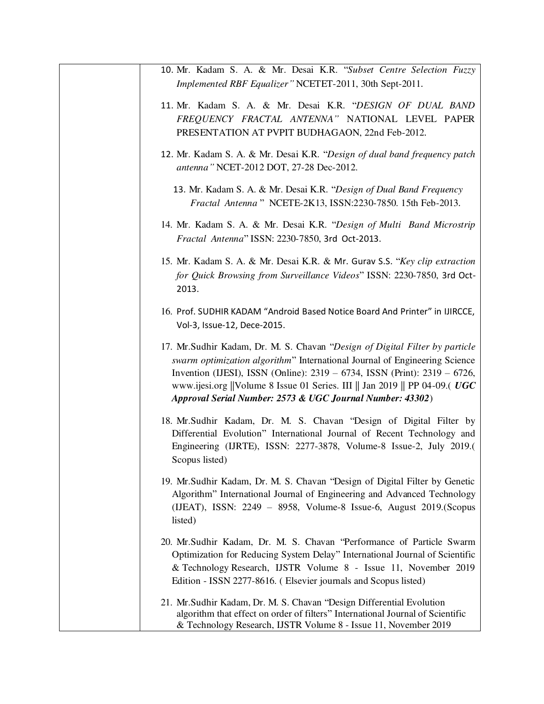| 10. Mr. Kadam S. A. & Mr. Desai K.R. "Subset Centre Selection Fuzzy<br>Implemented RBF Equalizer" NCETET-2011, 30th Sept-2011.                                                                                                                                                                                                                                                     |
|------------------------------------------------------------------------------------------------------------------------------------------------------------------------------------------------------------------------------------------------------------------------------------------------------------------------------------------------------------------------------------|
| 11. Mr. Kadam S. A. & Mr. Desai K.R. "DESIGN OF DUAL BAND<br>FREQUENCY FRACTAL ANTENNA" NATIONAL LEVEL PAPER<br>PRESENTATION AT PVPIT BUDHAGAON, 22nd Feb-2012.                                                                                                                                                                                                                    |
| 12. Mr. Kadam S. A. & Mr. Desai K.R. "Design of dual band frequency patch<br>antenna" NCET-2012 DOT, 27-28 Dec-2012.                                                                                                                                                                                                                                                               |
| 13. Mr. Kadam S. A. & Mr. Desai K.R. "Design of Dual Band Frequency<br>Fractal Antenna " NCETE-2K13, ISSN:2230-7850. 15th Feb-2013.                                                                                                                                                                                                                                                |
| 14. Mr. Kadam S. A. & Mr. Desai K.R. "Design of Multi Band Microstrip<br>Fractal Antenna" ISSN: 2230-7850, 3rd Oct-2013.                                                                                                                                                                                                                                                           |
| 15. Mr. Kadam S. A. & Mr. Desai K.R. & Mr. Gurav S.S. "Key clip extraction<br>for Quick Browsing from Surveillance Videos" ISSN: 2230-7850, 3rd Oct-<br>2013.                                                                                                                                                                                                                      |
| 16. Prof. SUDHIR KADAM "Android Based Notice Board And Printer" in IJIRCCE,<br>Vol-3, Issue-12, Dece-2015.                                                                                                                                                                                                                                                                         |
| 17. Mr.Sudhir Kadam, Dr. M. S. Chavan "Design of Digital Filter by particle<br>swarm optimization algorithm" International Journal of Engineering Science<br>Invention (IJESI), ISSN (Online): 2319 – 6734, ISSN (Print): 2319 – 6726,<br>www.ijesi.org   Volume 8 Issue 01 Series. III    Jan 2019    PP 04-09.( UGC<br>Approval Serial Number: 2573 & UGC Journal Number: 43302) |
| 18. Mr. Sudhir Kadam, Dr. M. S. Chavan "Design of Digital Filter by<br>Differential Evolution" International Journal of Recent Technology and<br>Engineering (IJRTE), ISSN: 2277-3878, Volume-8 Issue-2, July 2019.(<br>Scopus listed)                                                                                                                                             |
| 19. Mr. Sudhir Kadam, Dr. M. S. Chavan "Design of Digital Filter by Genetic<br>Algorithm" International Journal of Engineering and Advanced Technology<br>(IJEAT), ISSN: 2249 - 8958, Volume-8 Issue-6, August 2019. (Scopus<br>listed)                                                                                                                                            |
| 20. Mr.Sudhir Kadam, Dr. M. S. Chavan "Performance of Particle Swarm<br>Optimization for Reducing System Delay" International Journal of Scientific<br>& Technology Research, IJSTR Volume 8 - Issue 11, November 2019<br>Edition - ISSN 2277-8616. (Elsevier journals and Scopus listed)                                                                                          |
| 21. Mr. Sudhir Kadam, Dr. M. S. Chavan "Design Differential Evolution<br>algorithm that effect on order of filters" International Journal of Scientific<br>& Technology Research, IJSTR Volume 8 - Issue 11, November 2019                                                                                                                                                         |